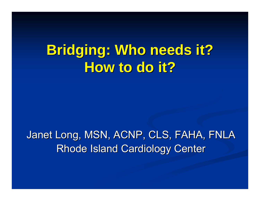# **Bridging: Who needs it? How to do it? How to do it?**

### Janet Long, MSN, ACNP, CLS, FAHA, FNLA Rhode Island Cardiology Center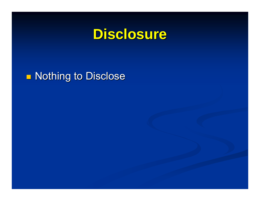## **Disclosure Disclosure**

#### **n** Nothing to Disclose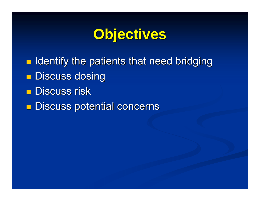## **Objectives Objectives**

**n** Identify the patients that need bridging  $\blacksquare$  Discuss dosing  $\blacksquare$  Discuss risk **n** Discuss potential concerns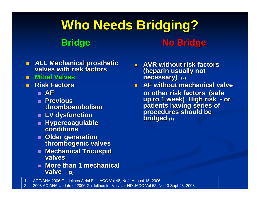#### **Who Needs Bridging? Who Needs Bridging? Bridge No Bridge No Bridge**

- *ALL* **Mechanical prosthetic Mechanical prosthetic valves with risk factors valves with risk factors**
- **Mitral Valves Mitral Valves**
- $\blacksquare$  **Risk Factors Risk Factors**
	- **AF**
	- **Previous thromboembolism**
	- **LV dysfunction LV dysfunction**
	- **Hypercoagulable Hypercoagulable conditionsconditions**
	- **Older generation thrombogenic valves**
	- $\mathbb{R}^2$  **Mechanical Tricuspid Mechanical Tricuspid valves**
	- **More than 1 mechanical valve** (2)
- **AVR** without risk factors **(heparin usually not necessary)** (2)
- **AF without mechanical valve AF without mechanical valveor other risk factors (safe<br>up to 1 week) High risk - c** up to 1 week) Hign risk - or<br>patients having series of<br>procedures should be<br>bridged <sub>(1)</sub>

1. ACC/AHA 2006 Guidelines Atrial Fib JACC Vol 48, No4, August 15, 2006

2. 2008 AC AHA Update of 2006 Guidelines for Valvular HD JACC Vol 52, No 13 Sept 23, 2008.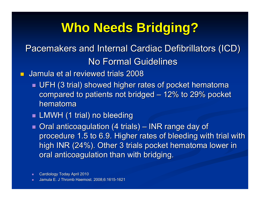## **Who Needs Bridging? Who Needs Bridging?**

#### Pacemakers and Internal Cardiac Defibrillators (ICD) No Formal Guidelines

П Jamula et al reviewed trials 2008 Jamula et al reviewed trials 2008

- $\blacksquare$  UFH (3 trial) showed higher rates of pocket hematoma compared to patients not bridged  $\cdot$  $-$  12% to 29% pocket  $\,$ hematoma
- $\blacksquare$  LMWH (1 trial) no bleeding

 $\blacksquare$  Oral anticoagulation (4 trials)  $\cdot$ –– INR range day of procedure 1.5 to 6.9. Higher rates of bleeding with trial with high INR (24%). Other 3 trials pocket hematoma lower in oral anticoagulation than with bridging.

Cardiology Today April 2010

Jamula E. J Thromb Haemost. 2008;6:1615-1621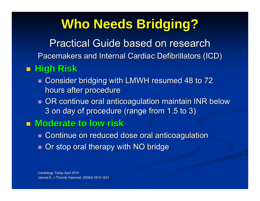## **Who Needs Bridging? Who Needs Bridging?**

Practical Guide based on research

Pacemakers and Internal Cardiac Defibrillators (ICD)

#### **High Risk High Risk**

- $\blacksquare$  Consider bridging with LMWH resumed 48 to 72 hours after procedure
- $\blacksquare$  OR continue oral anticoagulation maintain INR below 3 on day of procedure (range from 1.5 to 3)
- Moderate to low risk
	- $\blacksquare$  Continue on reduced dose oral anticoagulation
	- $\blacksquare$  Or stop oral therapy with NO bridge

Cardiology Today April 2010 Jamula E. J Thromb Haemost. 2008;6:1615-1621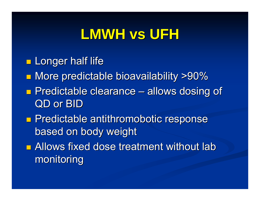## **LMWH vs UFH LMWH vs UFH**

- **Longer half life**
- **Nore predictable bioavailability >90%**
- **Predictable clearance**  $\mathcal{L}_{\mathcal{A}}$ – allows dosing of QD or BID
- **Predictable antithromobotic response** based on body weight
- $\blacksquare$  Allows fixed dose treatment without lab monitoring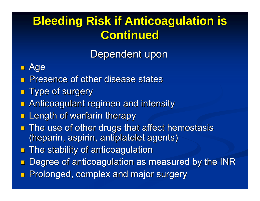## **Bleeding Risk if Anticoagulation is Continued Continued**

Dependent upon

#### T. Age

- p. Presence of other disease states
- Type of surgery
- ri<br>M Anticoagulant regimen and intensity Anticoagulant regimen and intensity
- $\blacksquare$  Length of warfarin therapy
- **The use of other drugs that affect hemostasis** (heparin, aspirin, antiplatelet agents)
- p. The stability of anticoagulation
- Degree of anticoagulation as measured by the INR
- ri<br>M Prolonged, complex and major surgery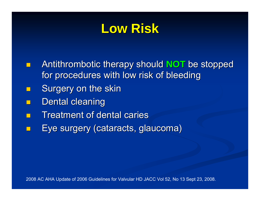## **Low Risk Low Risk**

- Antithrombotic therapy should **NOT** be stopped for procedures with low risk of bleeding
- p. Surgery on the skin
- p. Dental cleaning
- ri<br>M **Treatment of dental caries**
- Eye surgery (cataracts, glaucoma) Eye surgery (cataracts, glaucoma)

2008 AC AHA Update of 2006 Guidelines for Valvular HD JACC Vol 52, No 13 Sept 23, 2008.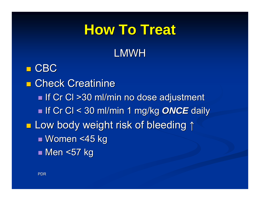# **How To Treat How To Treat** LMWH

 $\blacksquare$  CBC **E** Check Creatinine  $\blacksquare$  If Cr Cl >30 ml/min no dose adjustment ■ If Cr Cl < 30 ml/min 1 mg/kg *ONCE* daily ■ Low body weight risk of bleeding ↑ ■ Women <45 kg ■ Men <57 kg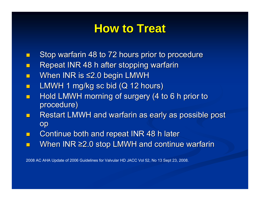### **How to Treat How to Treat**

- П Stop warfarin 48 to 72 hours prior to procedure
- П Repeat INR 48 h after stopping warfarin
- $\blacksquare$ When INR is  $\leq$  2.0 begin LMWH
- П LMWH 1 mg/kg sc bid (Q 12 hours)
- П Hold LMWH morning of surgery (4 to 6 h prior to procedure)
- П Restart LMWH and warfarin as early as possible post op
- П Continue both and repeat INR 48 h later
- $\blacksquare$ When INR ≥2.0 stop LMWH and continue warfarin

2008 AC AHA Update of 2006 Guidelines for Valvular HD JACC Vol 52, No 13 Sept 23, 2008.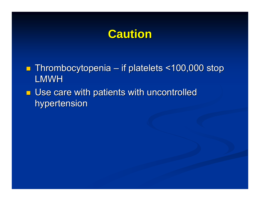## **Caution Caution**

- Thrombocytopenia if platelets <100,000 stop LMWH
- $\blacksquare$  Use care with patients with uncontrolled hypertension